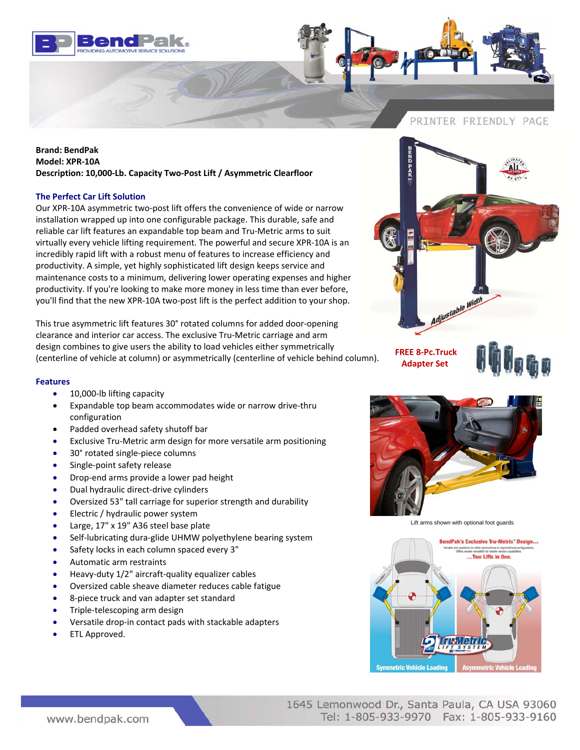



## **Brand: BendPak Model: XPR‐10A Description: 10,000‐Lb. Capacity Two‐Post Lift / Asymmetric Clearfloor**

## **The Perfect Car Lift Solution**

Our XPR‐10A asymmetric two‐post lift offers the convenience of wide or narrow installation wrapped up into one configurable package. This durable, safe and reliable car lift features an expandable top beam and Tru‐Metric arms to suit virtually every vehicle lifting requirement. The powerful and secure XPR‐10A is an incredibly rapid lift with a robust menu of features to increase efficiency and productivity. A simple, yet highly sophisticated lift design keeps service and maintenance costs to a minimum, delivering lower operating expenses and higher productivity. If you're looking to make more money in less time than ever before, you'll find that the new XPR‐10A two‐post lift is the perfect addition to your shop.

This true asymmetric lift features 30° rotated columns for added door‐opening clearance and interior car access. The exclusive Tru‐Metric carriage and arm design combines to give users the ability to load vehicles either symmetrically (centerline of vehicle at column) or asymmetrically (centerline of vehicle behind column).

## **Features**

- 10,000-lb lifting capacity
- Expandable top beam accommodates wide or narrow drive‐thru configuration
- Padded overhead safety shutoff bar
- Exclusive Tru‐Metric arm design for more versatile arm positioning
- 30° rotated single‐piece columns
- Single-point safety release
- Drop‐end arms provide a lower pad height
- Dual hydraulic direct‐drive cylinders
- Oversized 53" tall carriage for superior strength and durability
- Electric / hydraulic power system
- Large, 17" x 19" A36 steel base plate
- Self‐lubricating dura‐glide UHMW polyethylene bearing system
- Safety locks in each column spaced every 3"
- Automatic arm restraints
- Heavy‐duty 1/2" aircraft‐quality equalizer cables
- Oversized cable sheave diameter reduces cable fatigue
- 8‐piece truck and van adapter set standard
- Triple‐telescoping arm design
- Versatile drop‐in contact pads with stackable adapters
- ETL Approved.

**FREE 8‐Pc.Truck Adapter Set**





Adjustable Width

Lift arms shown with optional foot guards